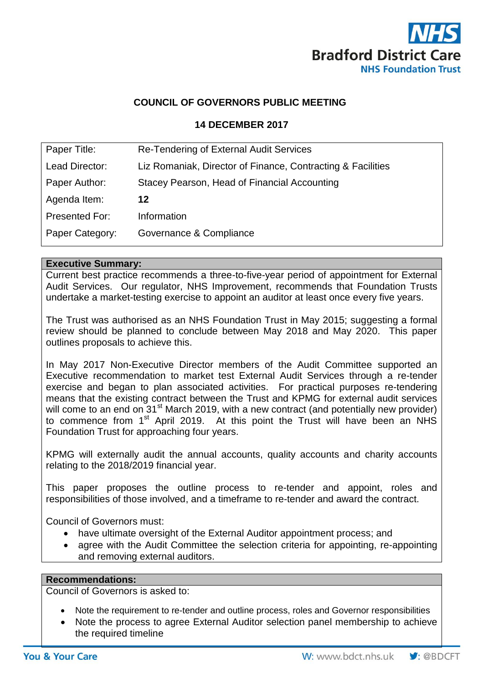

### **COUNCIL OF GOVERNORS PUBLIC MEETING**

#### **14 DECEMBER 2017**

| Paper Title:    | Re-Tendering of External Audit Services                     |
|-----------------|-------------------------------------------------------------|
| Lead Director:  | Liz Romaniak, Director of Finance, Contracting & Facilities |
| Paper Author:   | Stacey Pearson, Head of Financial Accounting                |
| Agenda Item:    | 12                                                          |
| Presented For:  | Information                                                 |
| Paper Category: | Governance & Compliance                                     |

#### **Executive Summary:**

Current best practice recommends a three-to-five-year period of appointment for External Audit Services. Our regulator, NHS Improvement, recommends that Foundation Trusts undertake a market-testing exercise to appoint an auditor at least once every five years.

The Trust was authorised as an NHS Foundation Trust in May 2015; suggesting a formal review should be planned to conclude between May 2018 and May 2020. This paper outlines proposals to achieve this.

In May 2017 Non-Executive Director members of the Audit Committee supported an Executive recommendation to market test External Audit Services through a re-tender exercise and began to plan associated activities. For practical purposes re-tendering means that the existing contract between the Trust and KPMG for external audit services will come to an end on 31<sup>st</sup> March 2019, with a new contract (and potentially new provider) to commence from 1<sup>st</sup> April 2019. At this point the Trust will have been an NHS Foundation Trust for approaching four years.

KPMG will externally audit the annual accounts, quality accounts and charity accounts relating to the 2018/2019 financial year.

This paper proposes the outline process to re-tender and appoint, roles and responsibilities of those involved, and a timeframe to re-tender and award the contract.

Council of Governors must:

- have ultimate oversight of the External Auditor appointment process; and
- agree with the Audit Committee the selection criteria for appointing, re-appointing and removing external auditors.

#### **Recommendations:**

Council of Governors is asked to:

- Note the requirement to re-tender and outline process, roles and Governor responsibilities
- Note the process to agree External Auditor selection panel membership to achieve the required timeline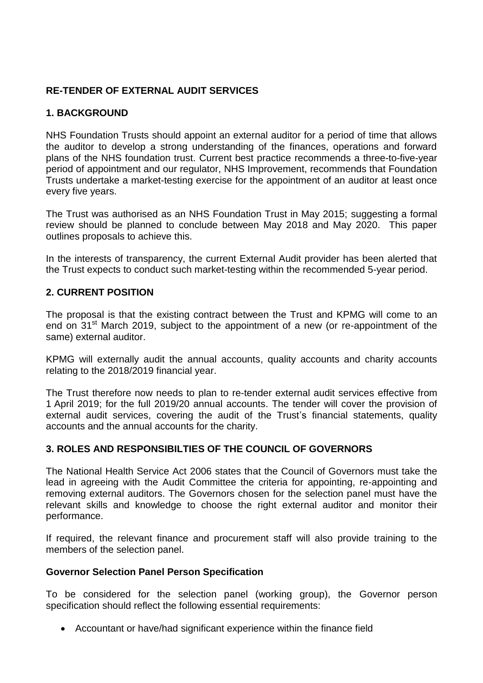## **RE-TENDER OF EXTERNAL AUDIT SERVICES**

## **1. BACKGROUND**

NHS Foundation Trusts should appoint an external auditor for a period of time that allows the auditor to develop a strong understanding of the finances, operations and forward plans of the NHS foundation trust. Current best practice recommends a three-to-five-year period of appointment and our regulator, NHS Improvement, recommends that Foundation Trusts undertake a market-testing exercise for the appointment of an auditor at least once every five years.

The Trust was authorised as an NHS Foundation Trust in May 2015; suggesting a formal review should be planned to conclude between May 2018 and May 2020. This paper outlines proposals to achieve this.

In the interests of transparency, the current External Audit provider has been alerted that the Trust expects to conduct such market-testing within the recommended 5-year period.

## **2. CURRENT POSITION**

The proposal is that the existing contract between the Trust and KPMG will come to an end on 31<sup>st</sup> March 2019, subject to the appointment of a new (or re-appointment of the same) external auditor.

KPMG will externally audit the annual accounts, quality accounts and charity accounts relating to the 2018/2019 financial year.

The Trust therefore now needs to plan to re-tender external audit services effective from 1 April 2019; for the full 2019/20 annual accounts. The tender will cover the provision of external audit services, covering the audit of the Trust's financial statements, quality accounts and the annual accounts for the charity.

## **3. ROLES AND RESPONSIBILTIES OF THE COUNCIL OF GOVERNORS**

The National Health Service Act 2006 states that the Council of Governors must take the lead in agreeing with the Audit Committee the criteria for appointing, re-appointing and removing external auditors. The Governors chosen for the selection panel must have the relevant skills and knowledge to choose the right external auditor and monitor their performance.

If required, the relevant finance and procurement staff will also provide training to the members of the selection panel.

#### **Governor Selection Panel Person Specification**

To be considered for the selection panel (working group), the Governor person specification should reflect the following essential requirements:

Accountant or have/had significant experience within the finance field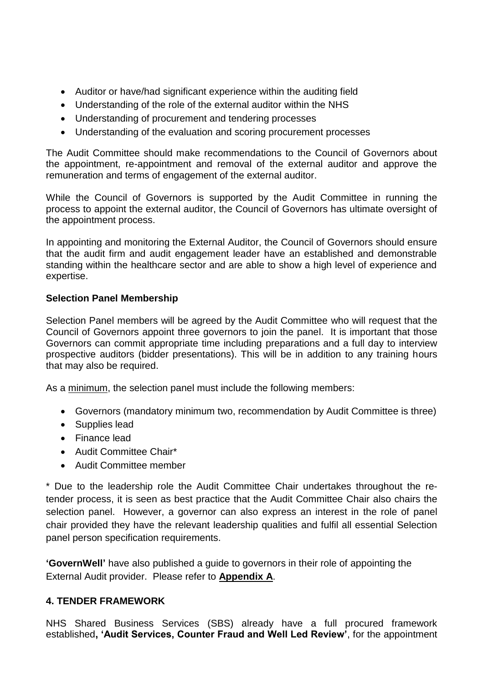- Auditor or have/had significant experience within the auditing field
- Understanding of the role of the external auditor within the NHS
- Understanding of procurement and tendering processes
- Understanding of the evaluation and scoring procurement processes

The Audit Committee should make recommendations to the Council of Governors about the appointment, re-appointment and removal of the external auditor and approve the remuneration and terms of engagement of the external auditor.

While the Council of Governors is supported by the Audit Committee in running the process to appoint the external auditor, the Council of Governors has ultimate oversight of the appointment process.

In appointing and monitoring the External Auditor, the Council of Governors should ensure that the audit firm and audit engagement leader have an established and demonstrable standing within the healthcare sector and are able to show a high level of experience and expertise.

## **Selection Panel Membership**

Selection Panel members will be agreed by the Audit Committee who will request that the Council of Governors appoint three governors to join the panel. It is important that those Governors can commit appropriate time including preparations and a full day to interview prospective auditors (bidder presentations). This will be in addition to any training hours that may also be required.

As a minimum, the selection panel must include the following members:

- Governors (mandatory minimum two, recommendation by Audit Committee is three)
- Supplies lead
- Finance lead
- Audit Committee Chair\*
- Audit Committee member

\* Due to the leadership role the Audit Committee Chair undertakes throughout the retender process, it is seen as best practice that the Audit Committee Chair also chairs the selection panel. However, a governor can also express an interest in the role of panel chair provided they have the relevant leadership qualities and fulfil all essential Selection panel person specification requirements.

**'GovernWell'** have also published a guide to governors in their role of appointing the External Audit provider. Please refer to **Appendix A**.

## **4. TENDER FRAMEWORK**

NHS Shared Business Services (SBS) already have a full procured framework established**, 'Audit Services, Counter Fraud and Well Led Review'**, for the appointment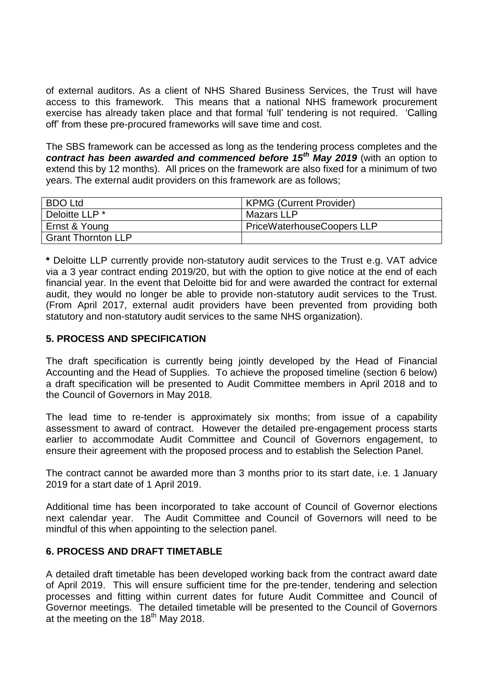of external auditors. As a client of NHS Shared Business Services, the Trust will have access to this framework. This means that a national NHS framework procurement exercise has already taken place and that formal 'full' tendering is not required. 'Calling off' from these pre-procured frameworks will save time and cost.

The SBS framework can be accessed as long as the tendering process completes and the *contract has been awarded and commenced before 15th May 2019* (with an option to extend this by 12 months). All prices on the framework are also fixed for a minimum of two years. The external audit providers on this framework are as follows;

| <b>BDO Ltd</b>            | <b>KPMG (Current Provider)</b>    |
|---------------------------|-----------------------------------|
| Deloitte LLP *            | Mazars LLP                        |
| Ernst & Young             | <b>PriceWaterhouseCoopers LLP</b> |
| <b>Grant Thornton LLP</b> |                                   |

**\*** Deloitte LLP currently provide non-statutory audit services to the Trust e.g. VAT advice via a 3 year contract ending 2019/20, but with the option to give notice at the end of each financial year. In the event that Deloitte bid for and were awarded the contract for external audit, they would no longer be able to provide non-statutory audit services to the Trust. (From April 2017, external audit providers have been prevented from providing both statutory and non-statutory audit services to the same NHS organization).

#### **5. PROCESS AND SPECIFICATION**

The draft specification is currently being jointly developed by the Head of Financial Accounting and the Head of Supplies. To achieve the proposed timeline (section 6 below) a draft specification will be presented to Audit Committee members in April 2018 and to the Council of Governors in May 2018.

The lead time to re-tender is approximately six months; from issue of a capability assessment to award of contract. However the detailed pre-engagement process starts earlier to accommodate Audit Committee and Council of Governors engagement, to ensure their agreement with the proposed process and to establish the Selection Panel.

The contract cannot be awarded more than 3 months prior to its start date, i.e. 1 January 2019 for a start date of 1 April 2019.

Additional time has been incorporated to take account of Council of Governor elections next calendar year. The Audit Committee and Council of Governors will need to be mindful of this when appointing to the selection panel.

#### **6. PROCESS AND DRAFT TIMETABLE**

A detailed draft timetable has been developed working back from the contract award date of April 2019. This will ensure sufficient time for the pre-tender, tendering and selection processes and fitting within current dates for future Audit Committee and Council of Governor meetings. The detailed timetable will be presented to the Council of Governors at the meeting on the  $18<sup>th</sup>$  May 2018.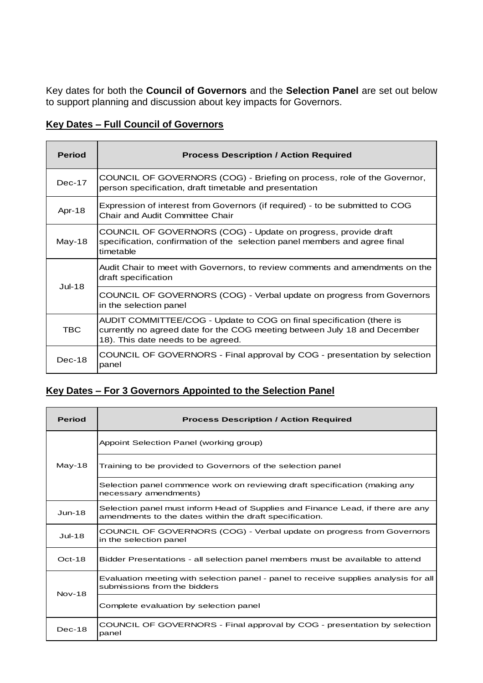Key dates for both the **Council of Governors** and the **Selection Panel** are set out below to support planning and discussion about key impacts for Governors.

## **Key Dates – Full Council of Governors**

| <b>Period</b> | <b>Process Description / Action Required</b>                                                                                                                                            |
|---------------|-----------------------------------------------------------------------------------------------------------------------------------------------------------------------------------------|
| $Dec-17$      | COUNCIL OF GOVERNORS (COG) - Briefing on process, role of the Governor,<br>person specification, draft timetable and presentation                                                       |
| Apr-18        | Expression of interest from Governors (if required) - to be submitted to COG<br>Chair and Audit Committee Chair                                                                         |
| May-18        | COUNCIL OF GOVERNORS (COG) - Update on progress, provide draft<br>specification, confirmation of the selection panel members and agree final<br>timetable                               |
| $Jul-18$      | Audit Chair to meet with Governors, to review comments and amendments on the<br>draft specification                                                                                     |
|               | COUNCIL OF GOVERNORS (COG) - Verbal update on progress from Governors<br>in the selection panel                                                                                         |
| <b>TBC</b>    | AUDIT COMMITTEE/COG - Update to COG on final specification (there is<br>currently no agreed date for the COG meeting between July 18 and December<br>18). This date needs to be agreed. |
| $Dec-18$      | COUNCIL OF GOVERNORS - Final approval by COG - presentation by selection<br>panel                                                                                                       |

# **Key Dates – For 3 Governors Appointed to the Selection Panel**

| <b>Period</b> | <b>Process Description / Action Required</b>                                                                                               |
|---------------|--------------------------------------------------------------------------------------------------------------------------------------------|
| $May-18$      | Appoint Selection Panel (working group)                                                                                                    |
|               | Training to be provided to Governors of the selection panel                                                                                |
|               | Selection panel commence work on reviewing draft specification (making any<br>necessary amendments)                                        |
| $Jun-18$      | Selection panel must inform Head of Supplies and Finance Lead, if there are any<br>amendments to the dates within the draft specification. |
| $Jul-18$      | COUNCIL OF GOVERNORS (COG) - Verbal update on progress from Governors<br>in the selection panel                                            |
| $Oct-18$      | Bidder Presentations - all selection panel members must be available to attend                                                             |
| $Nov-18$      | Evaluation meeting with selection panel - panel to receive supplies analysis for all<br>submissions from the bidders                       |
|               | Complete evaluation by selection panel                                                                                                     |
| $Dec-18$      | COUNCIL OF GOVERNORS - Final approval by COG - presentation by selection<br>panel                                                          |